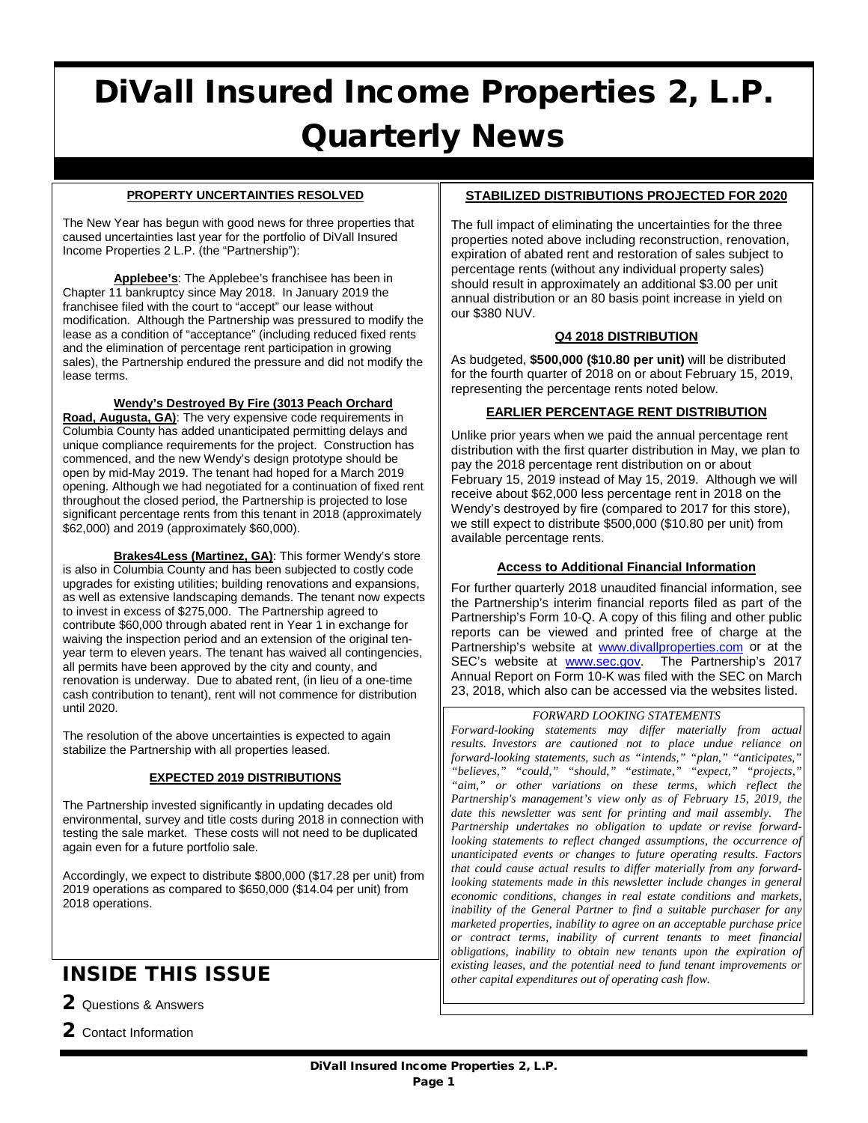# DiVall Insured Income Properties 2, L.P. Quarterly News

#### **PROPERTY UNCERTAINTIES RESOLVED**

The New Year has begun with good news for three properties that caused uncertainties last year for the portfolio of DiVall Insured Income Properties 2 L.P. (the "Partnership"):

**Applebee's**: The Applebee's franchisee has been in Chapter 11 bankruptcy since May 2018. In January 2019 the franchisee filed with the court to "accept" our lease without modification. Although the Partnership was pressured to modify the lease as a condition of "acceptance" (including reduced fixed rents and the elimination of percentage rent participation in growing sales), the Partnership endured the pressure and did not modify the lease terms.

**Wendy's Destroyed By Fire (3013 Peach Orchard** 

**Road, Augusta, GA)**: The very expensive code requirements in Columbia County has added unanticipated permitting delays and unique compliance requirements for the project. Construction has commenced, and the new Wendy's design prototype should be open by mid-May 2019. The tenant had hoped for a March 2019 opening. Although we had negotiated for a continuation of fixed rent throughout the closed period, the Partnership is projected to lose significant percentage rents from this tenant in 2018 (approximately \$62,000) and 2019 (approximately \$60,000).

**Brakes4Less (Martinez, GA)**: This former Wendy's store is also in Columbia County and has been subjected to costly code upgrades for existing utilities; building renovations and expansions, as well as extensive landscaping demands. The tenant now expects to invest in excess of \$275,000. The Partnership agreed to contribute \$60,000 through abated rent in Year 1 in exchange for waiving the inspection period and an extension of the original tenyear term to eleven years. The tenant has waived all contingencies, all permits have been approved by the city and county, and renovation is underway. Due to abated rent, (in lieu of a one-time cash contribution to tenant), rent will not commence for distribution until 2020.

The resolution of the above uncertainties is expected to again stabilize the Partnership with all properties leased.

#### **EXPECTED 2019 DISTRIBUTIONS**

The Partnership invested significantly in updating decades old environmental, survey and title costs during 2018 in connection with testing the sale market. These costs will not need to be duplicated again even for a future portfolio sale.

Accordingly, we expect to distribute \$800,000 (\$17.28 per unit) from 2019 operations as compared to \$650,000 (\$14.04 per unit) from 2018 operations.

# INSIDE THIS ISSUE

2 Questions & Answers

2 Contact Information

#### **STABILIZED DISTRIBUTIONS PROJECTED FOR 2020**

The full impact of eliminating the uncertainties for the three properties noted above including reconstruction, renovation, expiration of abated rent and restoration of sales subject to percentage rents (without any individual property sales) should result in approximately an additional \$3.00 per unit annual distribution or an 80 basis point increase in yield on our \$380 NUV.

# **Q4 2018 DISTRIBUTION**

As budgeted, **\$500,000 (\$10.80 per unit)** will be distributed for the fourth quarter of 2018 on or about February 15, 2019, representing the percentage rents noted below.

# **EARLIER PERCENTAGE RENT DISTRIBUTION**

Unlike prior years when we paid the annual percentage rent distribution with the first quarter distribution in May, we plan to pay the 2018 percentage rent distribution on or about February 15, 2019 instead of May 15, 2019. Although we will receive about \$62,000 less percentage rent in 2018 on the Wendy's destroyed by fire (compared to 2017 for this store), we still expect to distribute \$500,000 (\$10.80 per unit) from available percentage rents.

### **Access to Additional Financial Information**

For further quarterly 2018 unaudited financial information, see the Partnership's interim financial reports filed as part of the Partnership's Form 10-Q. A copy of this filing and other public reports can be viewed and printed free of charge at the Partnership's website at [www.divallproperties.com](http://www.divallproperties.com/) or at the SEC's website at **www.sec.gov**. The Partnership's 2017 Annual Report on Form 10-K was filed with the SEC on March 23, 2018, which also can be accessed via the websites listed.

#### *FORWARD LOOKING STATEMENTS*

*Forward-looking statements may differ materially from actual results. Investors are cautioned not to place undue reliance on forward-looking statements, such as "intends," "plan," "anticipates," "believes," "could," "should," "estimate," "expect," "projects," "aim," or other variations on these terms, which reflect the Partnership's management's view only as of February 15, 2019, the date this newsletter was sent for printing and mail assembly. The Partnership undertakes no obligation to update or revise forwardlooking statements to reflect changed assumptions, the occurrence of unanticipated events or changes to future operating results. Factors that could cause actual results to differ materially from any forwardlooking statements made in this newsletter include changes in general economic conditions, changes in real estate conditions and markets, inability of the General Partner to find a suitable purchaser for any marketed properties, inability to agree on an acceptable purchase price or contract terms, inability of current tenants to meet financial obligations, inability to obtain new tenants upon the expiration of existing leases, and the potential need to fund tenant improvements or other capital expenditures out of operating cash flow.*